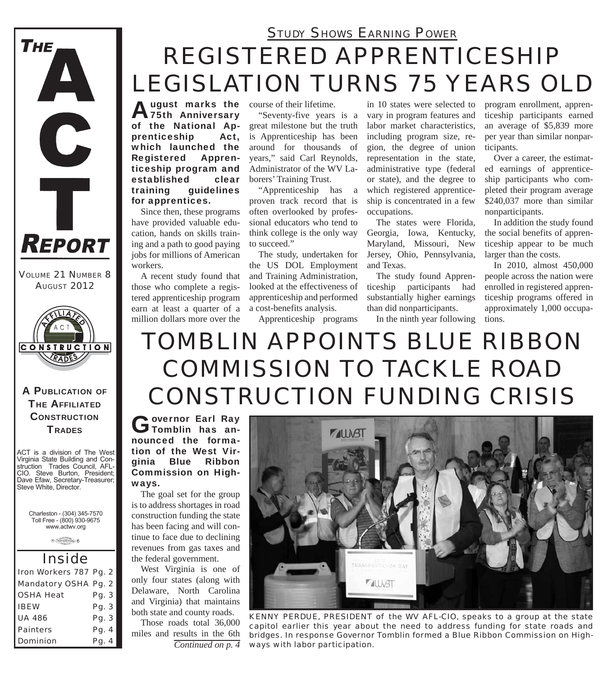

*VOLUME 21 NUMBER 8 AUGUST 2012*



A PUBLICATION OF **THE AFFILIATED CONSTRUCTION TRADES** 

ACT is a division of The West Virginia State Building and Construction Trades Council, AFL-CIO. Steve Burton, President; Dave Efaw, Secretary-Treasurer; Steve White, Director.

Charleston - (304) 345-7570 Toll Free - (800) 930-9675 www.actwv.org

A CRAMP COUNCIL 6

| <i><b>Inside</b></i>   |       |  |  |
|------------------------|-------|--|--|
| Iron Workers 787 Pg. 2 |       |  |  |
| Mandatory OSHA Pg. 2   |       |  |  |
| <b>OSHA Heat</b>       | Pg. 3 |  |  |
| <b>IBEW</b>            | Pg. 3 |  |  |
| <b>UA 486</b>          | Pg. 3 |  |  |
| <b>Painters</b>        | Pg. 4 |  |  |
| <b>Dominion</b>        | Pg. 4 |  |  |

## *REGISTERED APPRENTICESHIP LEGISLATION TURNS 75 YEARS OLD STUDY SHOWS EARNING POWER*

August marks the<br>
75th Anniversary of the National Apprenticeship Act, which launched the Registered Apprenticeship program and established clear training guidelines for apprentices.

Since then, these programs have provided valuable education, hands on skills training and a path to good paying jobs for millions of American workers.

A recent study found that those who complete a registered apprenticeship program earn at least a quarter of a million dollars more over the

course of their lifetime.

"Seventy-five years is a great milestone but the truth is Apprenticeship has been around for thousands of years," said Carl Reynolds, Administrator of the WV Laborers' Training Trust.

"Apprenticeship has a proven track record that is often overlooked by professional educators who tend to think college is the only way to succeed."

The study, undertaken for the US DOL Employment and Training Administration, looked at the effectiveness of apprenticeship and performed a cost-benefits analysis.

Apprenticeship programs

in 10 states were selected to vary in program features and labor market characteristics, including program size, region, the degree of union representation in the state, administrative type (federal or state), and the degree to which registered apprenticeship is concentrated in a few occupations.

The states were Florida, Georgia, Iowa, Kentucky, Maryland, Missouri, New Jersey, Ohio, Pennsylvania, and Texas.

The study found Apprenticeship participants had substantially higher earnings than did nonparticipants.

In the ninth year following

program enrollment, apprenticeship participants earned an average of \$5,839 more per year than similar nonparticipants.

Over a career, the estimated earnings of apprenticeship participants who completed their program average \$240,037 more than similar nonparticipants.

In addition the study found the social benefits of apprenticeship appear to be much larger than the costs.

In 2010, almost 450,000 people across the nation were enrolled in registered apprenticeship programs offered in approximately 1,000 occupations.

# *TOMBLIN APPOINTS BLUE RIBBON COMMISSION TO TACKLE ROAD CONSTRUCTION FUNDING CRISIS*

Governor Earl Ray<br> **Gromblin** has announced the formation of the West Virginia Blue Ribbon Commission on Highways.

The goal set for the group is to address shortages in road construction funding the state has been facing and will continue to face due to declining revenues from gas taxes and the federal government.

West Virginia is one of only four states (along with Delaware, North Carolina and Virginia) that maintains both state and county roads.

*Continued on p. 4* Those roads total 36,000 miles and results in the 6th



*KENNY PERDUE, PRESIDENT of the WV AFL-CIO, speaks to a group at the state capitol earlier this year about the need to address funding for state roads and bridges. In response Governor Tomblin formed a Blue Ribbon Commission on Highways with labor participation.*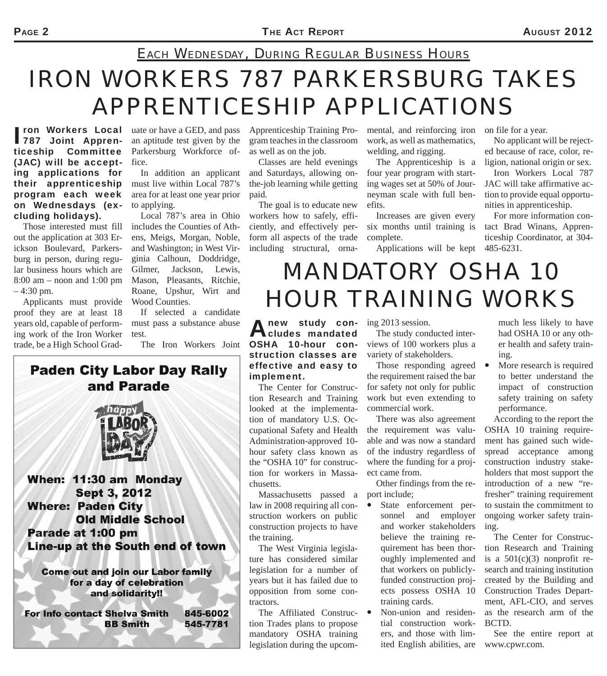### *EACH WEDNESDAY, DURING REGULAR BUSINESS HOURS*

# *IRON WORKERS 787 PARKERSBURG TAKES APPRENTICESHIP APPLICATIONS*

ron Workers Local<br>787 Joint Apprenticeship Committee (JAC) will be accepting applications for their apprenticeship program each week on Wednesdays (excluding holidays).

Those interested must fill out the application at 303 Erickson Boulevard, Parkersburg in person, during regular business hours which are 8:00 am – noon and 1:00 pm – 4:30 pm.

Applicants must provide proof they are at least 18 years old, capable of performing work of the Iron Worker trade, be a High School Grad-

**ron Workers Local** uate or have a GED, and pass an aptitude test given by the Parkersburg Workforce office.

> In addition an applicant must live within Local 787's area for at least one year prior to applying.

Local 787's area in Ohio includes the Counties of Athens, Meigs, Morgan, Noble, and Washington; in West Virginia Calhoun, Doddridge, Gilmer, Jackson, Lewis, Mason, Pleasants, Ritchie, Roane, Upshur, Wirt and Wood Counties.

If selected a candidate must pass a substance abuse test.

The Iron Workers Joint

Apprenticeship Training Program teaches in the classroom as well as on the job.

Classes are held evenings and Saturdays, allowing onthe-job learning while getting paid.

The goal is to educate new workers how to safely, efficiently, and effectively perform all aspects of the trade including structural, ornamental, and reinforcing iron work, as well as mathematics, welding, and rigging.

The Apprenticeship is a four year program with starting wages set at 50% of Journeyman scale with full benefits.

Increases are given every six months until training is complete.

on file for a year.

No applicant will be rejected because of race, color, religion, national origin or sex.

Iron Workers Local 787 JAC will take affirmative action to provide equal opportunities in apprenticeship.

Applications will be kept 485-6231. For more information contact Brad Winans, Apprenticeship Coordinator, at 304-

# *MANDATORY OSHA 10 HOUR TRAINING WORKS*

**A new study con-** ing 2013 session.<br> **A cludes mandated** The study cond cludes mandated OSHA 10-hour construction classes are effective and easy to implement.

The Center for Construction Research and Training looked at the implementation of mandatory U.S. Occupational Safety and Health Administration-approved 10 hour safety class known as the "OSHA 10" for construction for workers in Massachusetts.

Massachusetts passed a law in 2008 requiring all construction workers on public construction projects to have the training.

The West Virginia legislature has considered similar legislation for a number of years but it has failed due to opposition from some contractors.

The Affiliated Construction Trades plans to propose mandatory OSHA training legislation during the upcom-

The study conducted interviews of 100 workers plus a variety of stakeholders.

Those responding agreed  $\bullet$ the requirement raised the bar for safety not only for public work but even extending to commercial work.

There was also agreement the requirement was valuable and was now a standard of the industry regardless of where the funding for a project came from.

Other findings from the report include;

 State enforcement personnel and employer and worker stakeholders believe the training requirement has been thoroughly implemented and that workers on publiclyfunded construction projects possess OSHA 10 training cards.

 Non-union and residential construction workers, and those with limited English abilities, are www.cpwr.com.

much less likely to have had OSHA 10 or any other health and safety training.

 More research is required to better understand the impact of construction safety training on safety performance.

According to the report the OSHA 10 training require-

ment has gained such widespread acceptance among construction industry stakeholders that most support the introduction of a new "refresher" training requirement to sustain the commitment to ongoing worker safety training.

The Center for Construction Research and Training is a  $501(c)(3)$  nonprofit research and training institution created by the Building and Construction Trades Department, AFL-CIO, and serves as the research arm of the BCTD.

See the entire report at

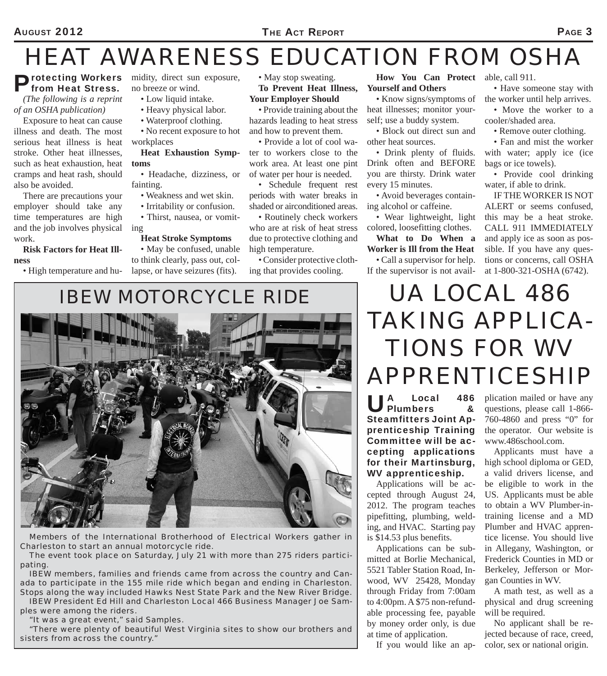## *HEAT AWARENESS EDUCATION FROM OSHA*

### from Heat Stress.

*(The following is a reprint of an OSHA publication)*

Exposure to heat can cause illness and death. The most serious heat illness is heat stroke. Other heat illnesses, such as heat exhaustion, heat cramps and heat rash, should also be avoided.

There are precautions your employer should take any time temperatures are high and the job involves physical work.

**Risk Factors for Heat Illness**

• High temperature and hu-

Protecting Workers midity, direct sun exposure,<br> **Prom Heat Stress.** no breeze or wind. no breeze or wind.

- Low liquid intake.
- Heavy physical labor.
- Waterproof clothing.
- No recent exposure to hot workplaces

#### **Heat Exhaustion Symptoms**

• Headache, dizziness, or fainting.

- Weakness and wet skin.
- Irritability or confusion.
- Thirst, nausea, or vomiting
	- **Heat Stroke Symptoms**

• May be confused, unable to think clearly, pass out, collapse, or have seizures (fits).

• May stop sweating. **To Prevent Heat Illness,** 

**Your Employer Should**

• Provide training about the hazards leading to heat stress and how to prevent them.

• Provide a lot of cool water to workers close to the work area. At least one pint of water per hour is needed.

• Schedule frequent rest periods with water breaks in shaded or airconditioned areas.

• Routinely check workers who are at risk of heat stress due to protective clothing and high temperature.

• Consider protective clothing that provides cooling.

**How You Can Protect**  able, call 911. **Yourself and Others**

• Know signs/symptoms of heat illnesses; monitor yourself; use a buddy system.

• Block out direct sun and other heat sources.

• Drink plenty of fluids. Drink often and BEFORE you are thirsty. Drink water every 15 minutes.

• Avoid beverages containing alcohol or caffeine.

• Wear lightweight, light colored, loosefitting clothes.

**What to Do When a Worker is Ill from the Heat**

• Call a supervisor for help. If the supervisor is not avail-

• Have someone stay with the worker until help arrives.

• Move the worker to a

cooler/shaded area.

• Remove outer clothing.

• Fan and mist the worker with water; apply ice (ice) bags or ice towels).

• Provide cool drinking water, if able to drink.

IF THE WORKER IS NOT ALERT or seems confused, this may be a heat stroke. CALL 911 IMMEDIATELY and apply ice as soon as possible. If you have any questions or concerns, call OSHA at 1-800-321-OSHA (6742).

## *IBEW MOTORCYCLE RIDE*



*Members of the International Brotherhood of Electrical Workers gather in Charleston to start an annual motorcycle ride.*

*The event took place on Saturday, July 21 with more than 275 riders participating.* 

*IBEW members, families and friends came from across the country and Canada to participate in the 155 mile ride which began and ending in Charleston. Stops along the way included Hawks Nest State Park and the New River Bridge. IBEW President Ed Hill and Charleston Local 466 Business Manager Joe Sam-*

*ples were among the riders.*

*"It was a great event," said Samples.*

*"There were plenty of beautiful West Virginia sites to show our brothers and sisters from across the country."*

# *UA LOCAL 486 TAKING APPLICA-TIONS FOR WV APPRENTICESHIP*

UA Local 486 Steamfitters Joint Apprenticeship Training Committee will be accepting applications for their Martinsburg, WV apprenticeship.

Applications will be accepted through August 24, 2012. The program teaches pipefitting, plumbing, welding, and HVAC. Starting pay is \$14.53 plus benefits.

Applications can be submitted at Borlie Mechanical, 5521 Tabler Station Road, Inwood, WV 25428, Monday through Friday from 7:00am to 4:00pm. A \$75 non-refundable processing fee, payable by money order only, is due at time of application.

If you would like an ap-

plication mailed or have any questions, please call 1-866- 760-4860 and press "0" for the operator. Our website is www.486school.com.

Applicants must have a high school diploma or GED, a valid drivers license, and be eligible to work in the US. Applicants must be able to obtain a WV Plumber-intraining license and a MD Plumber and HVAC apprentice license. You should live in Allegany, Washington, or Frederick Counties in MD or Berkeley, Jefferson or Morgan Counties in WV.

A math test, as well as a physical and drug screening will be required.

No applicant shall be rejected because of race, creed, color, sex or national origin.